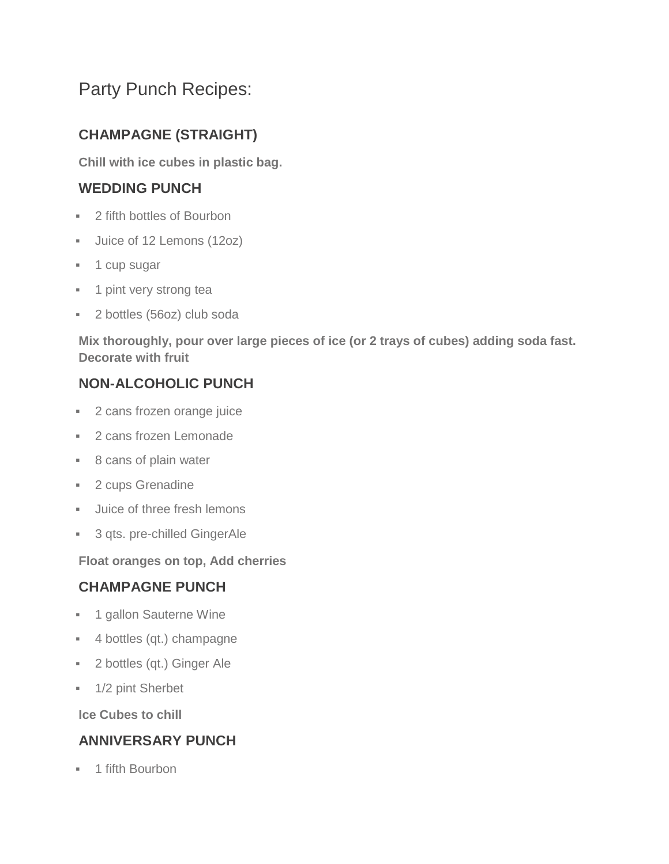# Party Punch Recipes:

# **CHAMPAGNE (STRAIGHT)**

**Chill with ice cubes in plastic bag.**

### **WEDDING PUNCH**

- 2 fifth bottles of Bourbon
- Ulice of 12 Lemons (12oz)
- **1** cup sugar
- **1** pint very strong tea
- 2 bottles (56oz) club soda

**Mix thoroughly, pour over large pieces of ice (or 2 trays of cubes) adding soda fast. Decorate with fruit**

# **NON-ALCOHOLIC PUNCH**

- **2** cans frozen orange juice
- **2 cans frozen Lemonade**
- 8 cans of plain water
- **2 cups Grenadine**
- **Juice of three fresh lemons**
- **3 qts. pre-chilled GingerAle**

**Float oranges on top, Add cherries**

### **CHAMPAGNE PUNCH**

- **1** gallon Sauterne Wine
- 4 bottles (qt.) champagne
- 2 bottles (qt.) Ginger Ale
- <sup>1/2</sup> pint Sherbet

**Ice Cubes to chill**

### **ANNIVERSARY PUNCH**

<sup>■</sup> 1 fifth Bourbon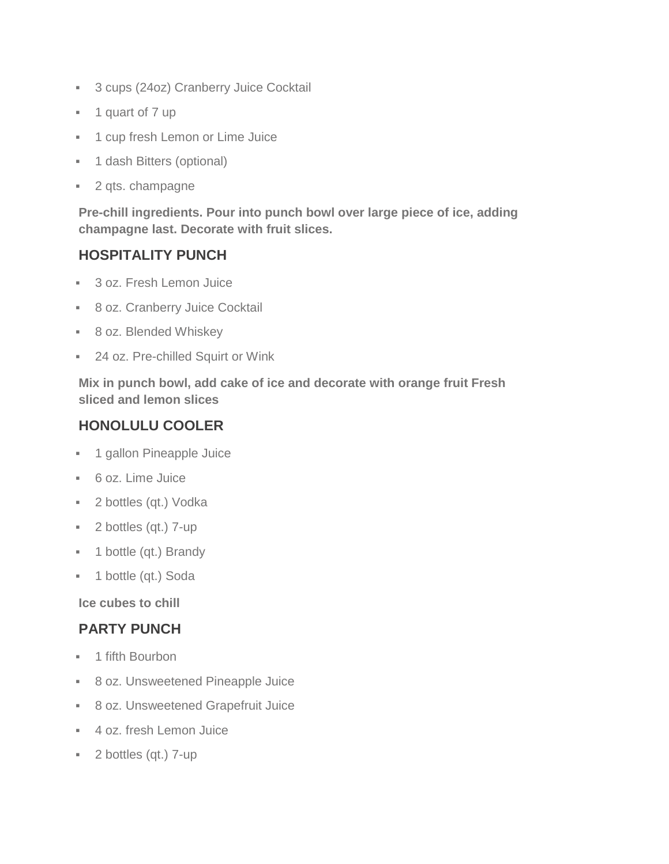- **3 cups (24oz) Cranberry Juice Cocktail**
- **1** quart of 7 up
- **1 cup fresh Lemon or Lime Juice**
- **1 dash Bitters (optional)**
- 2 qts. champagne

**Pre-chill ingredients. Pour into punch bowl over large piece of ice, adding champagne last. Decorate with fruit slices.**

#### **HOSPITALITY PUNCH**

- **3 oz. Fresh Lemon Juice**
- **8 oz. Cranberry Juice Cocktail**
- 8 oz. Blended Whiskey
- **24 oz. Pre-chilled Squirt or Wink**

**Mix in punch bowl, add cake of ice and decorate with orange fruit Fresh sliced and lemon slices**

#### **HONOLULU COOLER**

- **1 gallon Pineapple Juice**
- 6 oz. Lime Juice
- **2** bottles (qt.) Vodka
- 2 bottles (qt.) 7-up
- **1** bottle (qt.) Brandy
- **1** bottle (qt.) Soda

**Ice cubes to chill**

#### **PARTY PUNCH**

- **-** 1 fifth Bourbon
- 8 oz. Unsweetened Pineapple Juice
- 8 oz. Unsweetened Grapefruit Juice
- 4 oz. fresh Lemon Juice
- 2 bottles (qt.) 7-up